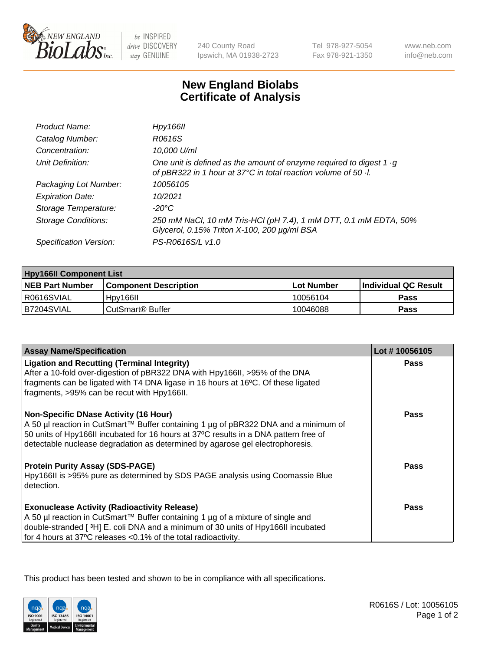

be INSPIRED drive DISCOVERY stay GENUINE

240 County Road Ipswich, MA 01938-2723 Tel 978-927-5054 Fax 978-921-1350

www.neb.com info@neb.com

## **New England Biolabs Certificate of Analysis**

| Product Name:              | Hpy166II                                                                                                                                      |
|----------------------------|-----------------------------------------------------------------------------------------------------------------------------------------------|
| Catalog Number:            | R0616S                                                                                                                                        |
| Concentration:             | 10,000 U/ml                                                                                                                                   |
| Unit Definition:           | One unit is defined as the amount of enzyme required to digest 1 $\cdot$ g<br>of pBR322 in 1 hour at 37°C in total reaction volume of 50 · l. |
| Packaging Lot Number:      | 10056105                                                                                                                                      |
| <b>Expiration Date:</b>    | 10/2021                                                                                                                                       |
| Storage Temperature:       | $-20^{\circ}$ C                                                                                                                               |
| <b>Storage Conditions:</b> | 250 mM NaCl, 10 mM Tris-HCl (pH 7.4), 1 mM DTT, 0.1 mM EDTA, 50%<br>Glycerol, 0.15% Triton X-100, 200 µg/ml BSA                               |
| Specification Version:     | PS-R0616S/L v1.0                                                                                                                              |

| <b>Hpy166II Component List</b> |                         |             |                             |  |
|--------------------------------|-------------------------|-------------|-----------------------------|--|
| <b>NEB Part Number</b>         | l Component Description | ⊺Lot Number | <b>Individual QC Result</b> |  |
| I R0616SVIAL                   | Hpy166II                | 10056104    | Pass                        |  |
| B7204SVIAL                     | i CutSmart® Buffer_     | 10046088    | Pass                        |  |

| <b>Assay Name/Specification</b>                                                                                                                                                                                                                                                                              | Lot #10056105 |
|--------------------------------------------------------------------------------------------------------------------------------------------------------------------------------------------------------------------------------------------------------------------------------------------------------------|---------------|
| <b>Ligation and Recutting (Terminal Integrity)</b><br>After a 10-fold over-digestion of pBR322 DNA with Hpy166II, >95% of the DNA<br>fragments can be ligated with T4 DNA ligase in 16 hours at 16°C. Of these ligated<br>fragments, >95% can be recut with Hpy166II.                                        | <b>Pass</b>   |
| <b>Non-Specific DNase Activity (16 Hour)</b><br>A 50 µl reaction in CutSmart™ Buffer containing 1 µg of pBR322 DNA and a minimum of<br>50 units of Hpy166II incubated for 16 hours at 37°C results in a DNA pattern free of<br>detectable nuclease degradation as determined by agarose gel electrophoresis. | Pass          |
| <b>Protein Purity Assay (SDS-PAGE)</b><br>Hpy166II is >95% pure as determined by SDS PAGE analysis using Coomassie Blue<br>detection.                                                                                                                                                                        | Pass          |
| <b>Exonuclease Activity (Radioactivity Release)</b><br>A 50 µl reaction in CutSmart™ Buffer containing 1 µg of a mixture of single and<br>double-stranded [3H] E. coli DNA and a minimum of 30 units of Hpy166II incubated<br>for 4 hours at 37°C releases <0.1% of the total radioactivity.                 | <b>Pass</b>   |

This product has been tested and shown to be in compliance with all specifications.